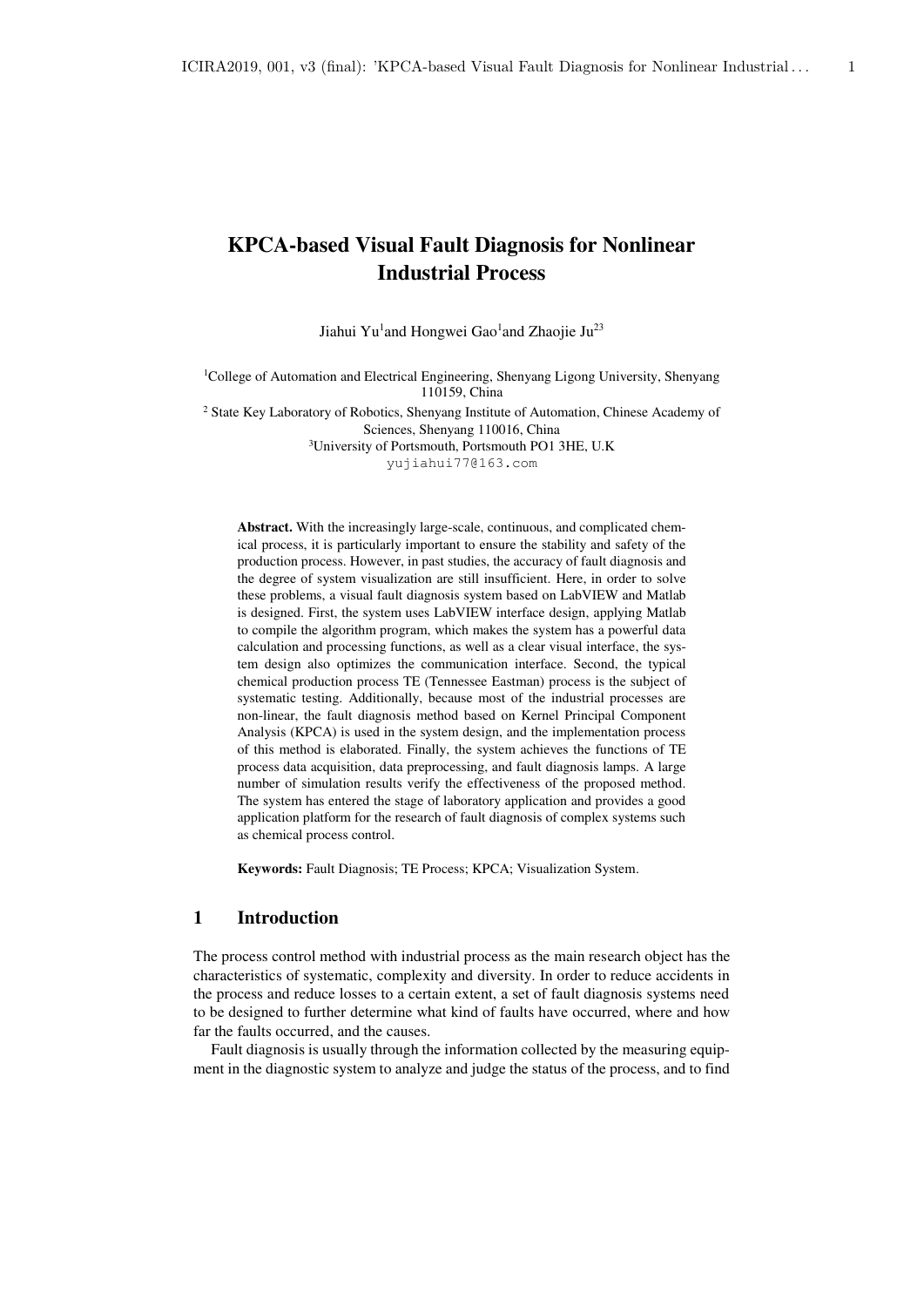# **KPCA-based Visual Fault Diagnosis for Nonlinear Industrial Process**

Jiahui Yu<sup>1</sup>and Hongwei Gao<sup>1</sup>and Zhaojie Ju<sup>23</sup>

<sup>1</sup>College of Automation and Electrical Engineering, Shenyang Ligong University, Shenyang 110159, China

<sup>2</sup> State Key Laboratory of Robotics, Shenyang Institute of Automation, Chinese Academy of Sciences, Shenyang 110016, China

> <sup>3</sup>University of Portsmouth, Portsmouth PO1 3HE, U.K yujiahui77@163.com

**Abstract.** With the increasingly large-scale, continuous, and complicated chemical process, it is particularly important to ensure the stability and safety of the production process. However, in past studies, the accuracy of fault diagnosis and the degree of system visualization are still insufficient. Here, in order to solve these problems, a visual fault diagnosis system based on LabVIEW and Matlab is designed. First, the system uses LabVIEW interface design, applying Matlab to compile the algorithm program, which makes the system has a powerful data calculation and processing functions, as well as a clear visual interface, the system design also optimizes the communication interface. Second, the typical chemical production process TE (Tennessee Eastman) process is the subject of systematic testing. Additionally, because most of the industrial processes are non-linear, the fault diagnosis method based on Kernel Principal Component Analysis (KPCA) is used in the system design, and the implementation process of this method is elaborated. Finally, the system achieves the functions of TE process data acquisition, data preprocessing, and fault diagnosis lamps. A large number of simulation results verify the effectiveness of the proposed method. The system has entered the stage of laboratory application and provides a good application platform for the research of fault diagnosis of complex systems such as chemical process control.

**Keywords:** Fault Diagnosis; TE Process; KPCA; Visualization System.

### **1 Introduction**

The process control method with industrial process as the main research object has the characteristics of systematic, complexity and diversity. In order to reduce accidents in the process and reduce losses to a certain extent, a set of fault diagnosis systems need to be designed to further determine what kind of faults have occurred, where and how far the faults occurred, and the causes.

Fault diagnosis is usually through the information collected by the measuring equipment in the diagnostic system to analyze and judge the status of the process, and to find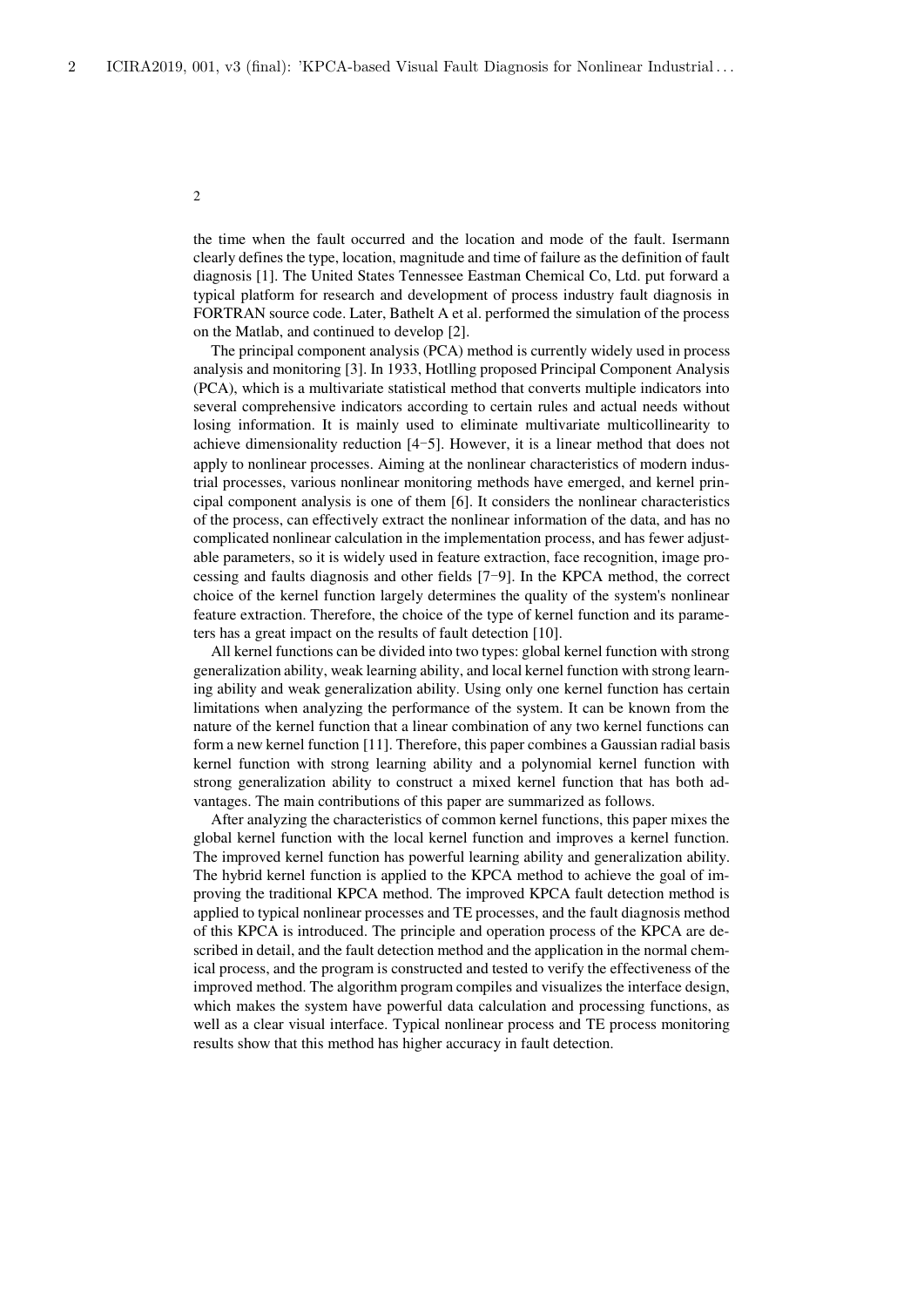the time when the fault occurred and the location and mode of the fault. Isermann clearly defines the type, location, magnitude and time of failure as the definition of fault diagnosis [1]. The United States Tennessee Eastman Chemical Co, Ltd. put forward a typical platform for research and development of process industry fault diagnosis in FORTRAN source code. Later, Bathelt A et al. performed the simulation of the process on the Matlab, and continued to develop [2].

The principal component analysis (PCA) method is currently widely used in process analysis and monitoring [3]. In 1933, Hotlling proposed Principal Component Analysis (PCA), which is a multivariate statistical method that converts multiple indicators into several comprehensive indicators according to certain rules and actual needs without losing information. It is mainly used to eliminate multivariate multicollinearity to achieve dimensionality reduction [4-5]. However, it is a linear method that does not apply to nonlinear processes. Aiming at the nonlinear characteristics of modern industrial processes, various nonlinear monitoring methods have emerged, and kernel principal component analysis is one of them [6]. It considers the nonlinear characteristics of the process, can effectively extract the nonlinear information of the data, and has no complicated nonlinear calculation in the implementation process, and has fewer adjustable parameters, so it is widely used in feature extraction, face recognition, image processing and faults diagnosis and other fields [7-9]. In the KPCA method, the correct choice of the kernel function largely determines the quality of the system's nonlinear feature extraction. Therefore, the choice of the type of kernel function and its parameters has a great impact on the results of fault detection [10].

All kernel functions can be divided into two types: global kernel function with strong generalization ability, weak learning ability, and local kernel function with strong learning ability and weak generalization ability. Using only one kernel function has certain limitations when analyzing the performance of the system. It can be known from the nature of the kernel function that a linear combination of any two kernel functions can form a new kernel function [11]. Therefore, this paper combines a Gaussian radial basis kernel function with strong learning ability and a polynomial kernel function with strong generalization ability to construct a mixed kernel function that has both advantages. The main contributions of this paper are summarized as follows.

After analyzing the characteristics of common kernel functions, this paper mixes the global kernel function with the local kernel function and improves a kernel function. The improved kernel function has powerful learning ability and generalization ability. The hybrid kernel function is applied to the KPCA method to achieve the goal of improving the traditional KPCA method. The improved KPCA fault detection method is applied to typical nonlinear processes and TE processes, and the fault diagnosis method of this KPCA is introduced. The principle and operation process of the KPCA are described in detail, and the fault detection method and the application in the normal chemical process, and the program is constructed and tested to verify the effectiveness of the improved method. The algorithm program compiles and visualizes the interface design, which makes the system have powerful data calculation and processing functions, as well as a clear visual interface. Typical nonlinear process and TE process monitoring results show that this method has higher accuracy in fault detection.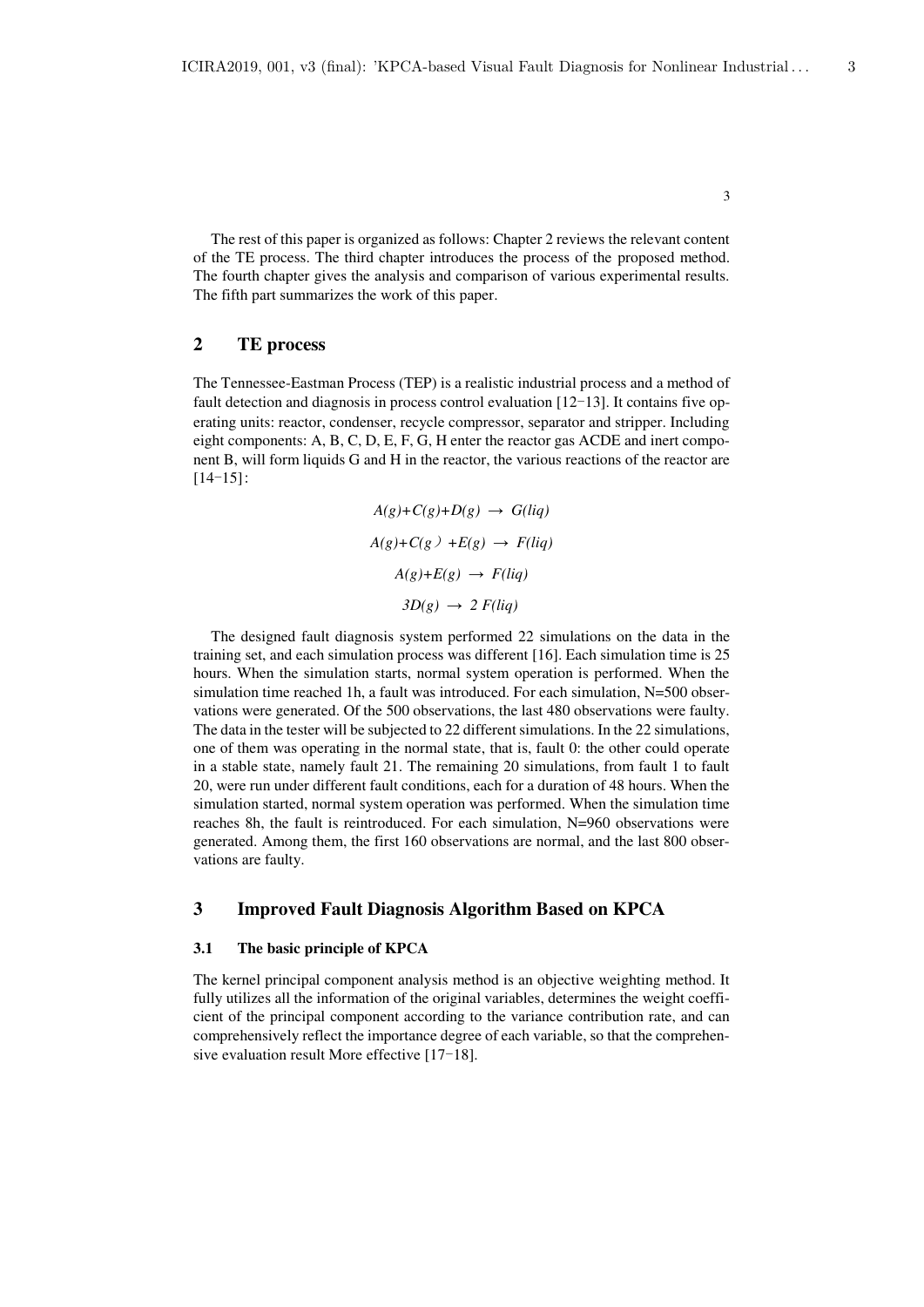The rest of this paper is organized as follows: Chapter 2 reviews the relevant content of the TE process. The third chapter introduces the process of the proposed method. The fourth chapter gives the analysis and comparison of various experimental results. The fifth part summarizes the work of this paper.

# **2 TE process**

The Tennessee-Eastman Process (TEP) is a realistic industrial process and a method of fault detection and diagnosis in process control evaluation [12-13]. It contains five operating units: reactor, condenser, recycle compressor, separator and stripper. Including eight components: A, B, C, D, E, F, G, H enter the reactor gas ACDE and inert component B, will form liquids G and H in the reactor, the various reactions of the reactor are  $[14-15]$ :

> $A(g) + C(g) + D(g) \rightarrow G(liq)$  $A(g) + C(g) + E(g) \rightarrow F(liq)$  $A(g) + E(g) \rightarrow F(lig)$  $3D(g) \rightarrow 2$  *F*(*lia*)

The designed fault diagnosis system performed 22 simulations on the data in the training set, and each simulation process was different [16]. Each simulation time is 25 hours. When the simulation starts, normal system operation is performed. When the simulation time reached 1h, a fault was introduced. For each simulation, N=500 observations were generated. Of the 500 observations, the last 480 observations were faulty. The data in the tester will be subjected to 22 different simulations. In the 22 simulations, one of them was operating in the normal state, that is, fault 0: the other could operate in a stable state, namely fault 21. The remaining 20 simulations, from fault 1 to fault 20, were run under different fault conditions, each for a duration of 48 hours. When the simulation started, normal system operation was performed. When the simulation time reaches 8h, the fault is reintroduced. For each simulation, N=960 observations were generated. Among them, the first 160 observations are normal, and the last 800 observations are faulty.

# **3 Improved Fault Diagnosis Algorithm Based on KPCA**

### **3.1 The basic principle of KPCA**

The kernel principal component analysis method is an objective weighting method. It fully utilizes all the information of the original variables, determines the weight coefficient of the principal component according to the variance contribution rate, and can comprehensively reflect the importance degree of each variable, so that the comprehensive evaluation result More effective [17-18].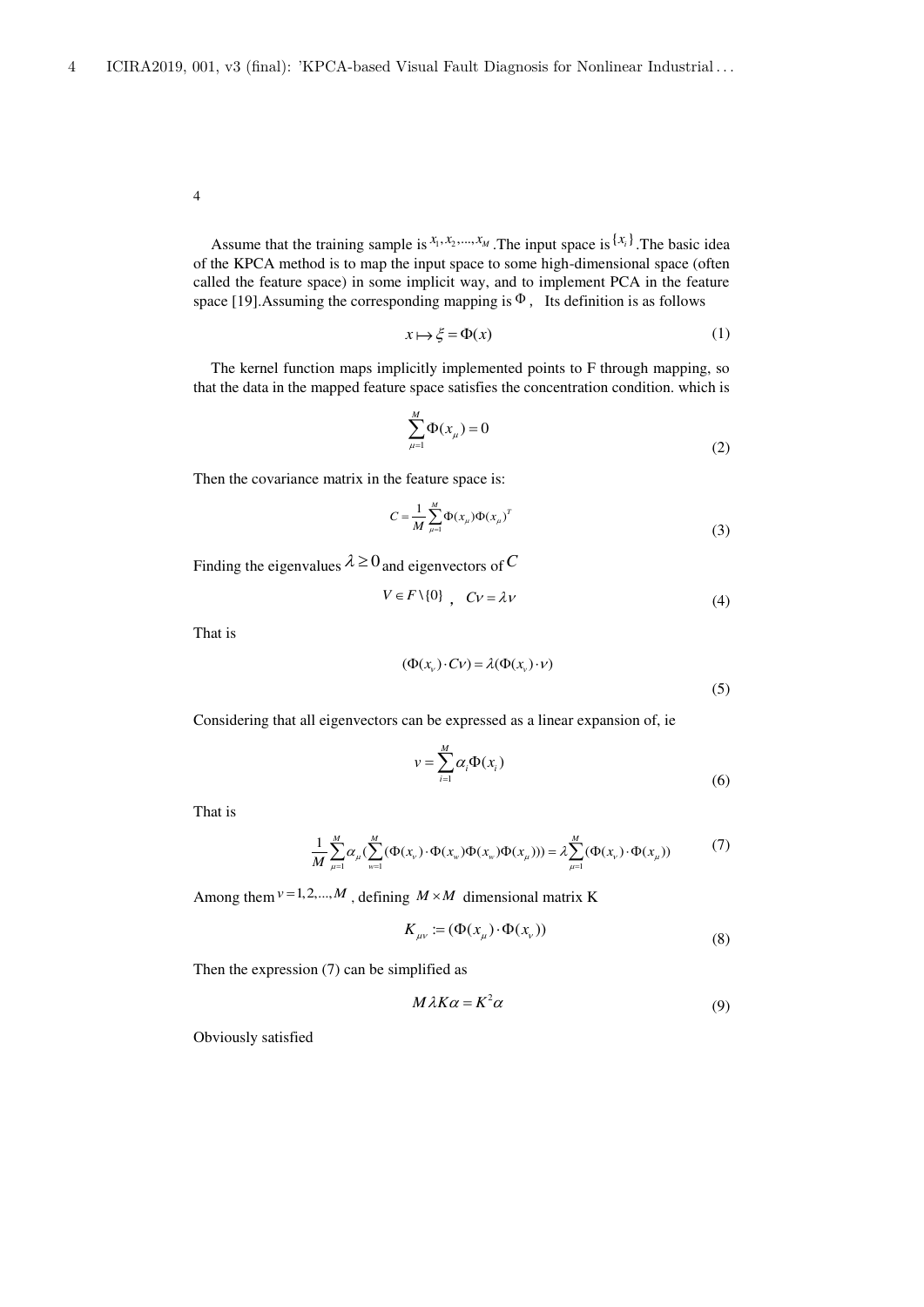Assume that the training sample is  $^{x_1, x_2, ..., x_M}$ . The input space is  $\{x_i\}$ . The basic idea of the KPCA method is to map the input space to some high-dimensional space (often called the feature space) in some implicit way, and to implement PCA in the feature space [19]. Assuming the corresponding mapping is  $\Phi$ , Its definition is as follows

$$
x \mapsto \xi = \Phi(x) \tag{1}
$$

The kernel function maps implicitly implemented points to F through mapping, so that the data in the mapped feature space satisfies the concentration condition. which is

$$
\sum_{\mu=1}^{M} \Phi(x_{\mu}) = 0
$$
 (2)

Then the covariance matrix in the feature space is:

$$
C = \frac{1}{M} \sum_{\mu=1}^{M} \Phi(x_{\mu}) \Phi(x_{\mu})^{T}
$$
\n(3)

Finding the eigenvalues  $\lambda \ge 0$  and eigenvectors of C

$$
V \in F \setminus \{0\} , CV = \lambda V \tag{4}
$$

That is

$$
(\Phi(x_v) \cdot C v) = \lambda(\Phi(x_v) \cdot v)
$$
\n(5)

Considering that all eigenvectors can be expressed as a linear expansion of, ie

$$
v = \sum_{i=1}^{M} \alpha_i \Phi(x_i)
$$
\n(6)

That is

$$
\frac{1}{M} \sum_{\mu=1}^{M} \alpha_{\mu} \left( \sum_{w=1}^{M} (\Phi(x_{\nu}) \cdot \Phi(x_{w}) \Phi(x_{\mu})) \right) = \lambda \sum_{\mu=1}^{M} (\Phi(x_{\nu}) \cdot \Phi(x_{\mu})) \tag{7}
$$

Among them  $v = 1, 2, ..., M$ , defining  $M \times M$  dimensional matrix K

$$
K_{\mu\nu} := (\Phi(x_{\mu}) \cdot \Phi(x_{\nu})) \tag{8}
$$

Then the expression (7) can be simplified as

$$
M\lambda K\alpha = K^2\alpha\tag{9}
$$

Obviously satisfied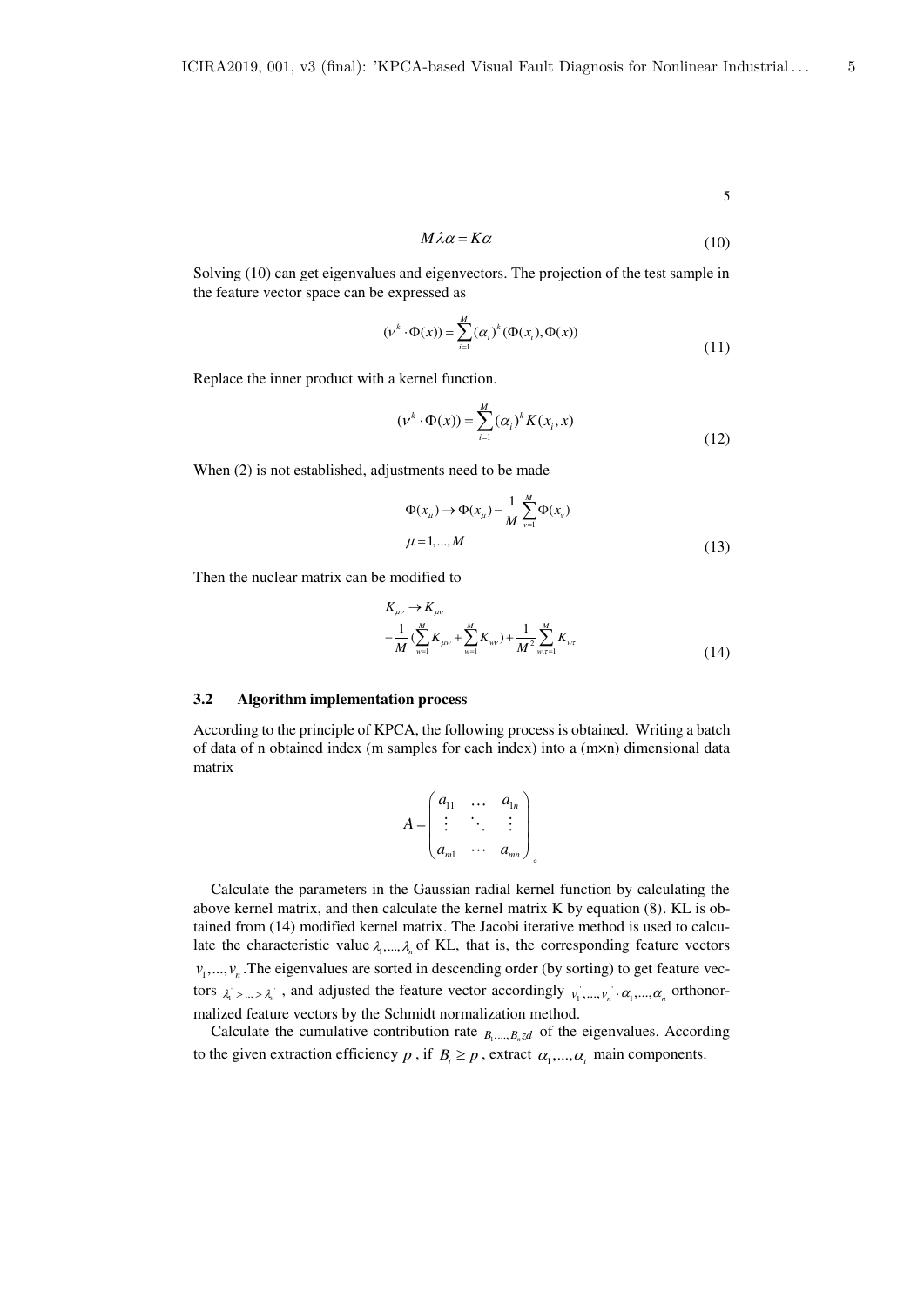$$
M\lambda\alpha = K\alpha \tag{10}
$$

Solving (10) can get eigenvalues and eigenvectors. The projection of the test sample in the feature vector space can be expressed as

$$
(\nu^k \cdot \Phi(x)) = \sum_{i=1}^{M} (\alpha_i)^k (\Phi(x_i), \Phi(x))
$$
\n(11)

Replace the inner product with a kernel function.

$$
(\nu^k \cdot \Phi(x)) = \sum_{i=1}^{M} (\alpha_i)^k K(x_i, x)
$$
\n(12)

When (2) is not established, adjustments need to be made

$$
\Phi(x_{\mu}) \to \Phi(x_{\mu}) - \frac{1}{M} \sum_{\nu=1}^{M} \Phi(x_{\nu})
$$
  

$$
\mu = 1,...,M
$$
 (13)

Then the nuclear matrix can be modified to

$$
K_{\mu\nu} \to K_{\mu\nu}
$$
  

$$
-\frac{1}{M}(\sum_{w=1}^{M} K_{\mu\nu} + \sum_{w=1}^{M} K_{w\nu}) + \frac{1}{M^{2}} \sum_{w,\tau=1}^{M} K_{w\tau}
$$
 (14)

#### **3.2 Algorithm implementation process**

According to the principle of KPCA, the following process is obtained. Writing a batch of data of n obtained index (m samples for each index) into a (m×n) dimensional data matrix

$$
A = \begin{pmatrix} a_{11} & \dots & a_{1n} \\ \vdots & \ddots & \vdots \\ a_{m1} & \dots & a_{mn} \end{pmatrix}
$$

Calculate the parameters in the Gaussian radial kernel function by calculating the above kernel matrix, and then calculate the kernel matrix K by equation (8). KL is obtained from (14) modified kernel matrix. The Jacobi iterative method is used to calculate the characteristic value  $\lambda_1, ..., \lambda_n$  of KL, that is, the corresponding feature vectors  $v_1, \ldots, v_n$ . The eigenvalues are sorted in descending order (by sorting) to get feature vectors  $\lambda_1 > ... > \lambda_n$ , and adjusted the feature vector accordingly  $v_1, ..., v_n \cdot \alpha_1, ..., \alpha_n$  orthonormalized feature vectors by the Schmidt normalization method.

Calculate the cumulative contribution rate  $B_1, \ldots, B_n \times d$  of the eigenvalues. According to the given extraction efficiency  $p$ , if  $B_t \geq p$ , extract  $\alpha_1, \dots, \alpha_t$  main components.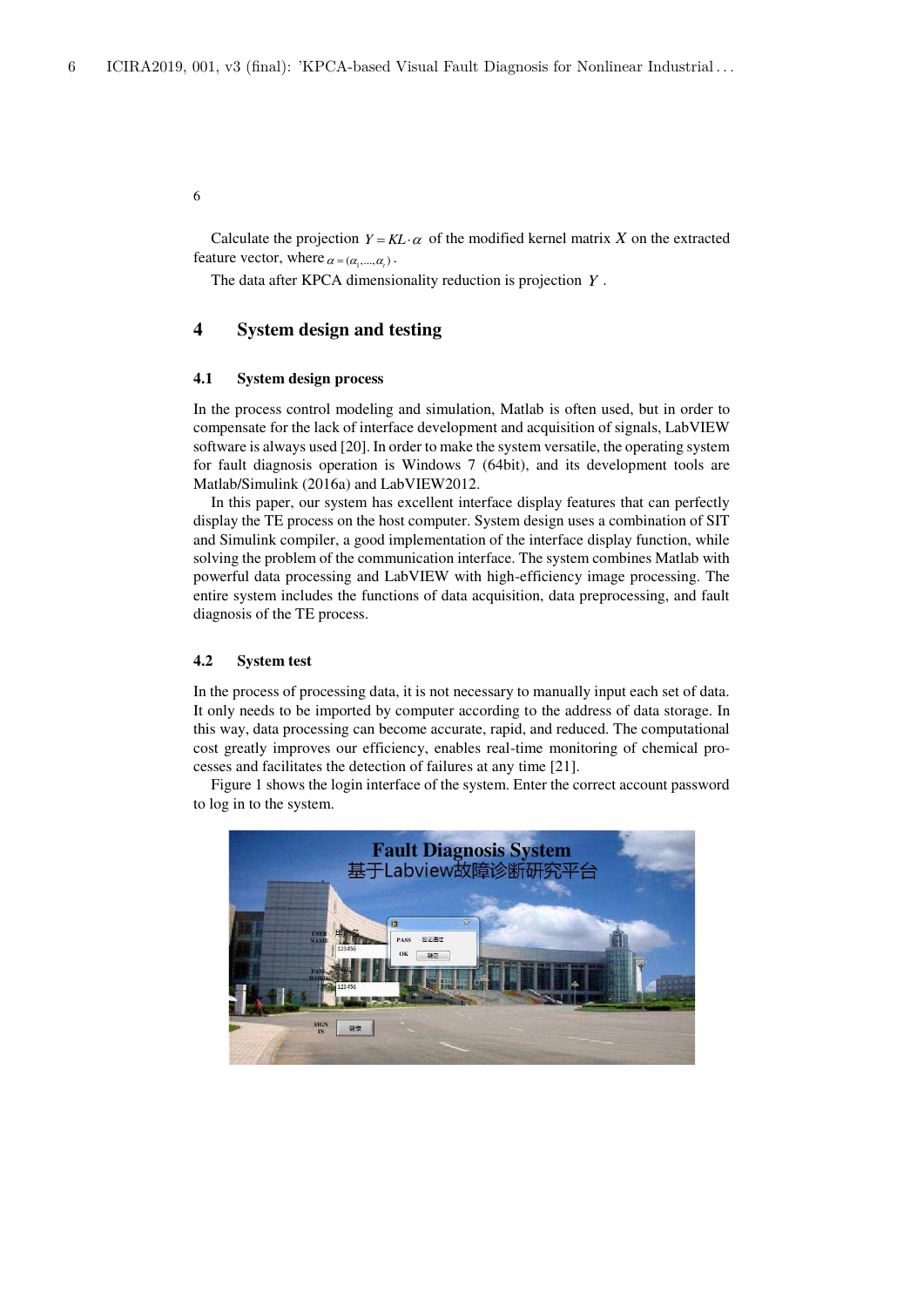Calculate the projection  $Y = KL \cdot \alpha$  of the modified kernel matrix *X* on the extracted feature vector, where  $\alpha = (\alpha_1, ..., \alpha_r)$ .

The data after KPCA dimensionality reduction is projection *Y* .

# **4 System design and testing**

#### **4.1 System design process**

In the process control modeling and simulation, Matlab is often used, but in order to compensate for the lack of interface development and acquisition of signals, LabVIEW software is always used [20]. In order to make the system versatile, the operating system for fault diagnosis operation is Windows 7 (64bit), and its development tools are Matlab/Simulink (2016a) and LabVIEW2012.

In this paper, our system has excellent interface display features that can perfectly display the TE process on the host computer. System design uses a combination of SIT and Simulink compiler, a good implementation of the interface display function, while solving the problem of the communication interface. The system combines Matlab with powerful data processing and LabVIEW with high-efficiency image processing. The entire system includes the functions of data acquisition, data preprocessing, and fault diagnosis of the TE process.

### **4.2 System test**

In the process of processing data, it is not necessary to manually input each set of data. It only needs to be imported by computer according to the address of data storage. In this way, data processing can become accurate, rapid, and reduced. The computational cost greatly improves our efficiency, enables real-time monitoring of chemical processes and facilitates the detection of failures at any time [21].

Figure 1 shows the login interface of the system. Enter the correct account password to log in to the system.

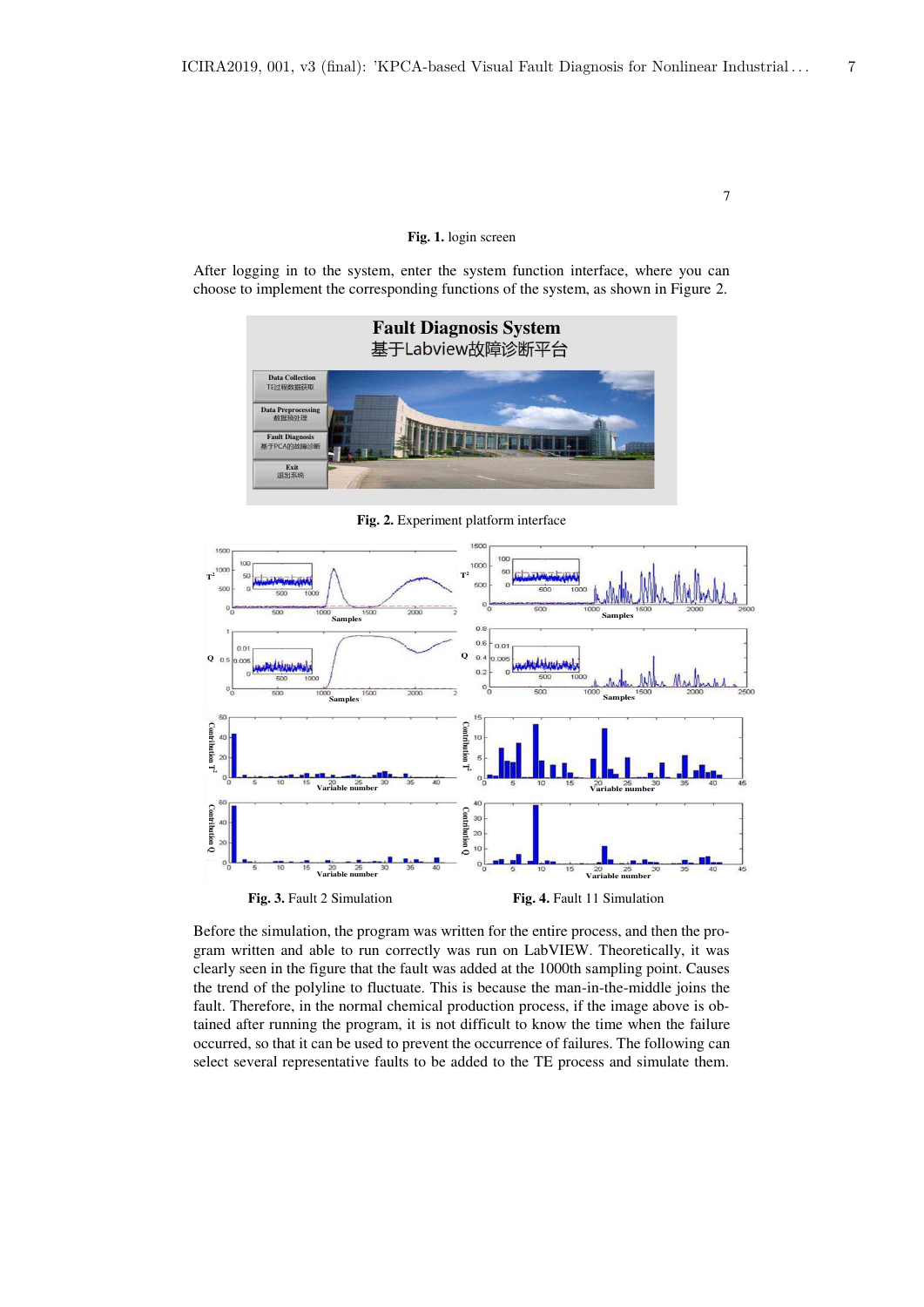#### **Fig. 1.** login screen

After logging in to the system, enter the system function interface, where you can choose to implement the corresponding functions of the system, as shown in Figure 2.



**Fig. 2.** Experiment platform interface



Before the simulation, the program was written for the entire process, and then the program written and able to run correctly was run on LabVIEW. Theoretically, it was clearly seen in the figure that the fault was added at the 1000th sampling point. Causes the trend of the polyline to fluctuate. This is because the man-in-the-middle joins the fault. Therefore, in the normal chemical production process, if the image above is obtained after running the program, it is not difficult to know the time when the failure occurred, so that it can be used to prevent the occurrence of failures. The following can select several representative faults to be added to the TE process and simulate them.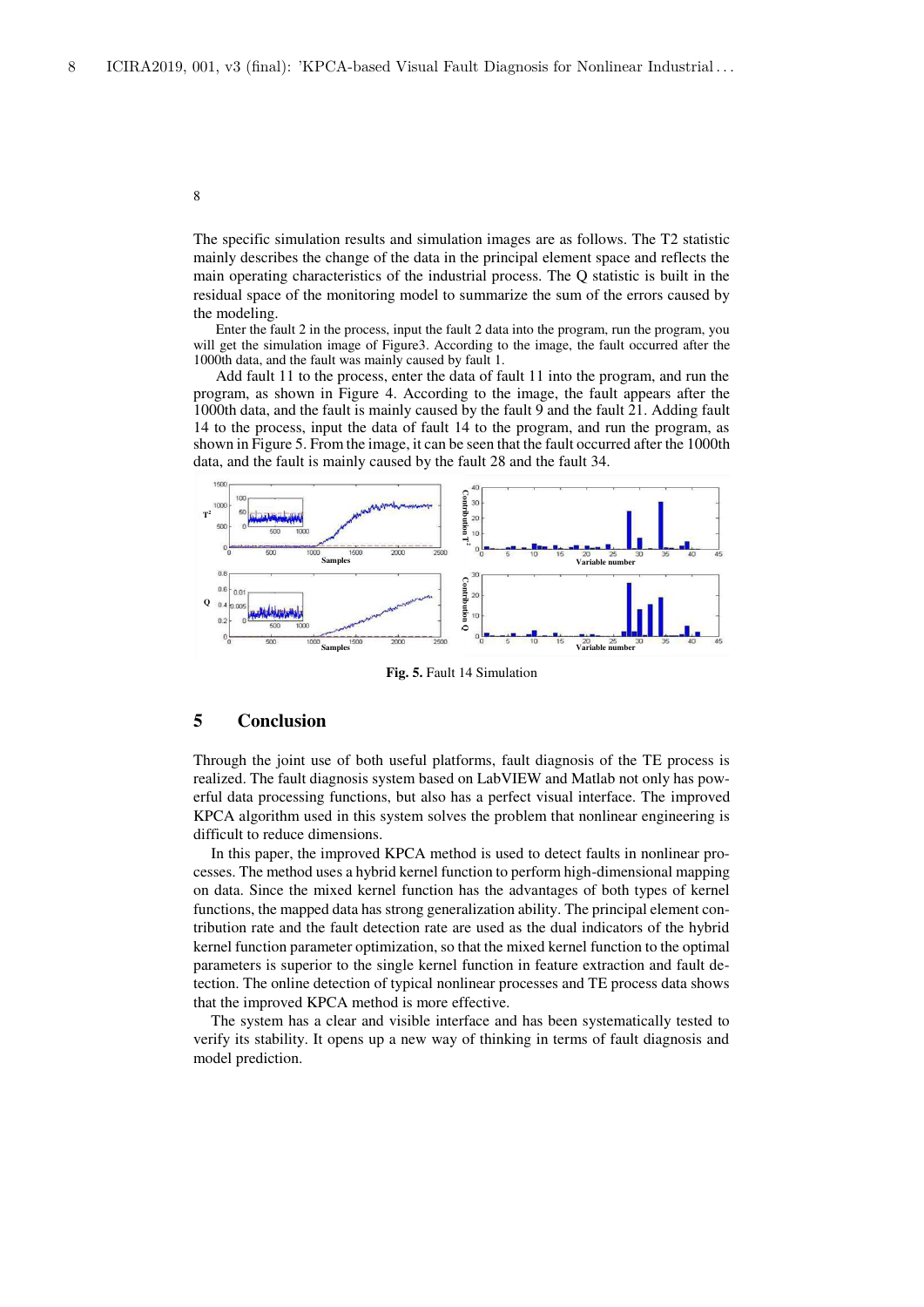The specific simulation results and simulation images are as follows. The T2 statistic mainly describes the change of the data in the principal element space and reflects the main operating characteristics of the industrial process. The Q statistic is built in the residual space of the monitoring model to summarize the sum of the errors caused by the modeling.

Enter the fault 2 in the process, input the fault 2 data into the program, run the program, you will get the simulation image of Figure3. According to the image, the fault occurred after the 1000th data, and the fault was mainly caused by fault 1.

Add fault 11 to the process, enter the data of fault 11 into the program, and run the program, as shown in Figure 4. According to the image, the fault appears after the 1000th data, and the fault is mainly caused by the fault 9 and the fault 21. Adding fault 14 to the process, input the data of fault 14 to the program, and run the program, as shown in Figure 5. From the image, it can be seen that the fault occurred after the 1000th data, and the fault is mainly caused by the fault 28 and the fault 34.

![](_page_7_Figure_4.jpeg)

**Fig. 5.** Fault 14 Simulation

## **5 Conclusion**

Through the joint use of both useful platforms, fault diagnosis of the TE process is realized. The fault diagnosis system based on LabVIEW and Matlab not only has powerful data processing functions, but also has a perfect visual interface. The improved KPCA algorithm used in this system solves the problem that nonlinear engineering is difficult to reduce dimensions.

In this paper, the improved KPCA method is used to detect faults in nonlinear processes. The method uses a hybrid kernel function to perform high-dimensional mapping on data. Since the mixed kernel function has the advantages of both types of kernel functions, the mapped data has strong generalization ability. The principal element contribution rate and the fault detection rate are used as the dual indicators of the hybrid kernel function parameter optimization, so that the mixed kernel function to the optimal parameters is superior to the single kernel function in feature extraction and fault detection. The online detection of typical nonlinear processes and TE process data shows that the improved KPCA method is more effective.

The system has a clear and visible interface and has been systematically tested to verify its stability. It opens up a new way of thinking in terms of fault diagnosis and model prediction.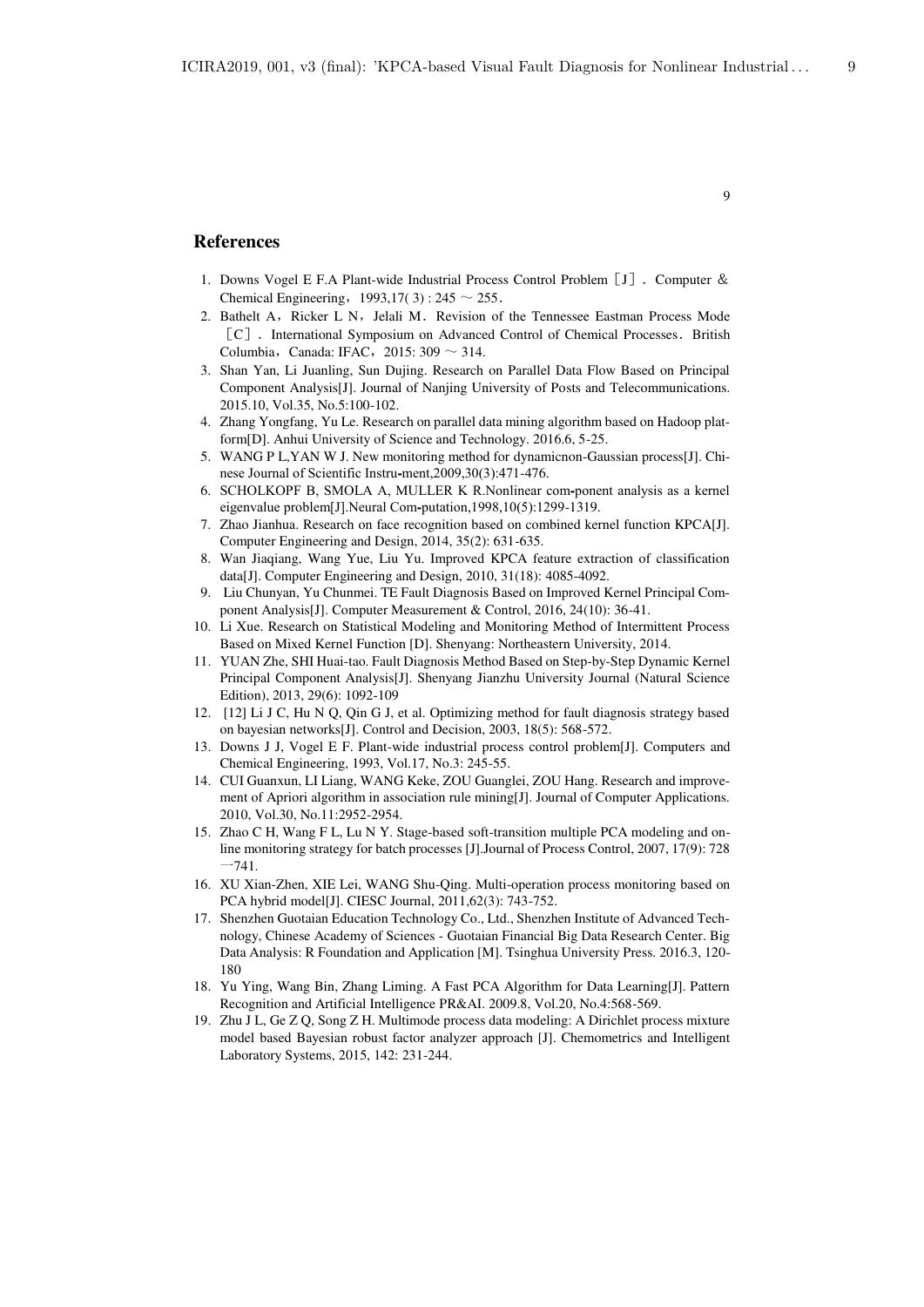### **References**

- 1. Downs Vogel E F.A Plant-wide Industrial Process Control Problem [J]. Computer & Chemical Engineering,  $1993,17(3)$  : 245  $\sim$  255.
- 2. Bathelt A, Ricker L N, Jelali M. Revision of the Tennessee Eastman Process Mode [C]. International Symposium on Advanced Control of Chemical Processes. British Columbia, Canada: IFAC,  $2015: 309 \sim 314$ .
- 3. Shan Yan, Li Juanling, Sun Dujing. Research on Parallel Data Flow Based on Principal Component Analysis[J]. Journal of Nanjing University of Posts and Telecommunications. 2015.10, Vol.35, No.5:100-102.
- 4. Zhang Yongfang, Yu Le. Research on parallel data mining algorithm based on Hadoop platform[D]. Anhui University of Science and Technology. 2016.6, 5-25.
- 5. WANG P L,YAN W J. New monitoring method for dynamicnon-Gaussian process[J]. Chinese Journal of Scientific Instru-ment, 2009, 30(3): 471-476.
- 6. SCHOLKOPF B, SMOLA A, MULLER K R.Nonlinear com⁃ponent analysis as a kernel eigenvalue problem[J].Neural Com-putation,1998,10(5):1299-1319.
- 7. Zhao Jianhua. Research on face recognition based on combined kernel function KPCA[J]. Computer Engineering and Design, 2014, 35(2): 631-635.
- 8. Wan Jiaqiang, Wang Yue, Liu Yu. Improved KPCA feature extraction of classification data[J]. Computer Engineering and Design, 2010, 31(18): 4085-4092.
- 9. Liu Chunyan, Yu Chunmei. TE Fault Diagnosis Based on Improved Kernel Principal Component Analysis[J]. Computer Measurement & Control, 2016, 24(10): 36-41.
- 10. Li Xue. Research on Statistical Modeling and Monitoring Method of Intermittent Process Based on Mixed Kernel Function [D]. Shenyang: Northeastern University, 2014.
- 11. YUAN Zhe, SHI Huai-tao. Fault Diagnosis Method Based on Step-by-Step Dynamic Kernel Principal Component Analysis[J]. Shenyang Jianzhu University Journal (Natural Science Edition), 2013, 29(6): 1092-109
- 12. [12] Li J C, Hu N Q, Qin G J, et al. Optimizing method for fault diagnosis strategy based on bayesian networks[J]. Control and Decision, 2003, 18(5): 568-572.
- 13. Downs J J, Vogel E F. Plant-wide industrial process control problem[J]. Computers and Chemical Engineering, 1993, Vol.17, No.3: 245-55.
- 14. CUI Guanxun, LI Liang, WANG Keke, ZOU Guanglei, ZOU Hang. Research and improvement of Apriori algorithm in association rule mining[J]. Journal of Computer Applications. 2010, Vol.30, No.11:2952-2954.
- 15. Zhao C H, Wang F L, Lu N Y. Stage-based soft-transition multiple PCA modeling and online monitoring strategy for batch processes [J].Journal of Process Control, 2007, 17(9): 728  $-741.$
- 16. XU Xian-Zhen, XIE Lei, WANG Shu-Qing. Multi-operation process monitoring based on PCA hybrid model[J]. CIESC Journal, 2011,62(3): 743-752.
- 17. Shenzhen Guotaian Education Technology Co., Ltd., Shenzhen Institute of Advanced Technology, Chinese Academy of Sciences - Guotaian Financial Big Data Research Center. Big Data Analysis: R Foundation and Application [M]. Tsinghua University Press. 2016.3, 120- 180
- 18. Yu Ying, Wang Bin, Zhang Liming. A Fast PCA Algorithm for Data Learning[J]. Pattern Recognition and Artificial Intelligence PR&AI. 2009.8, Vol.20, No.4:568-569.
- 19. Zhu J L, Ge Z Q, Song Z H. Multimode process data modeling: A Dirichlet process mixture model based Bayesian robust factor analyzer approach [J]. Chemometrics and Intelligent Laboratory Systems, 2015, 142: 231-244.